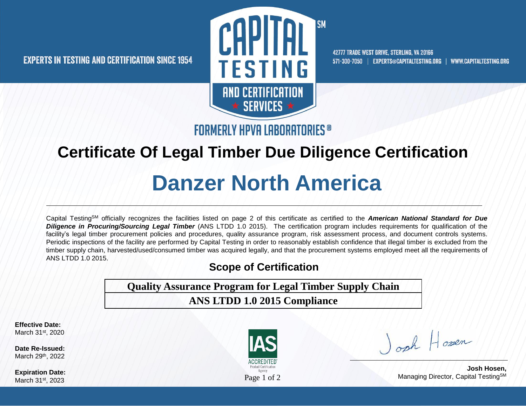

42777 TRADE WEST DRIVE, STERLING, VA 20166 571-300-7050 | EXPERTS@CAPITALTESTING.ORG | WWW.CAPITALTESTING.ORG

**FORMERLY HPVA LABORATORIES**<sup>®</sup>

## **Certificate Of Legal Timber Due Diligence Certification**

# **Danzer North America**

Capital TestingSM officially recognizes the facilities listed on page 2 of this certificate as certified to the *American National Standard for Due Diligence in Procuring/Sourcing Legal Timber* (ANS LTDD 1.0 2015). The certification program includes requirements for qualification of the facility's legal timber procurement policies and procedures, quality assurance program, risk assessment process, and document controls systems. Periodic inspections of the facility are performed by Capital Testing in order to reasonably establish confidence that illegal timber is excluded from the timber supply chain, harvested/used/consumed timber was acquired legally, and that the procurement systems employed meet all the requirements of ANS LTDD 1.0 2015.

#### **Scope of Certification**

**Quality Assurance Program for Legal Timber Supply Chain**

**ANS LTDD 1.0 2015 Compliance**

**Effective Date:**  March 31st, 2020

**Date Re-Issued:** March 29th, 2022

**Expiration Date:**  March 31<sup>st</sup>, 2023



Josh Hosen